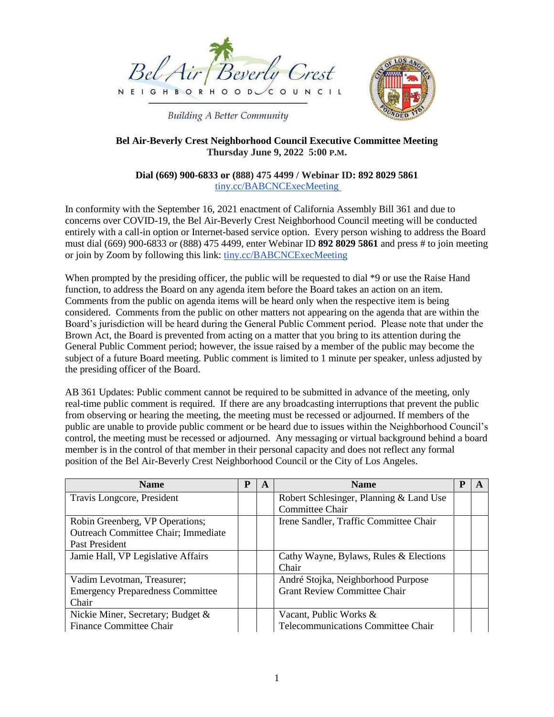

**Building A Better Community** 



# **Bel Air-Beverly Crest Neighborhood Council Executive Committee Meeting Thursday June 9, 2022 5:00 P.M.**

#### **Dial (669) 900-6833 or (888) 475 4499 / Webinar ID: 892 8029 5861** tiny.cc/BABCNCExecMeeting

In conformity with the September 16, 2021 enactment of California Assembly Bill 361 and due to concerns over COVID-19, the Bel Air-Beverly Crest Neighborhood Council meeting will be conducted entirely with a call-in option or Internet-based service option. Every person wishing to address the Board must dial (669) 900-6833 or (888) 475 4499, enter Webinar ID **892 8029 5861** and press # to join meeting or join by Zoom by following this link: tiny.cc/BABCNCExecMeeting

When prompted by the presiding officer, the public will be requested to dial \*9 or use the Raise Hand function, to address the Board on any agenda item before the Board takes an action on an item. Comments from the public on agenda items will be heard only when the respective item is being considered. Comments from the public on other matters not appearing on the agenda that are within the Board's jurisdiction will be heard during the General Public Comment period. Please note that under the Brown Act, the Board is prevented from acting on a matter that you bring to its attention during the General Public Comment period; however, the issue raised by a member of the public may become the subject of a future Board meeting. Public comment is limited to 1 minute per speaker, unless adjusted by the presiding officer of the Board.

AB 361 Updates: Public comment cannot be required to be submitted in advance of the meeting, only real-time public comment is required. If there are any broadcasting interruptions that prevent the public from observing or hearing the meeting, the meeting must be recessed or adjourned. If members of the public are unable to provide public comment or be heard due to issues within the Neighborhood Council's control, the meeting must be recessed or adjourned. Any messaging or virtual background behind a board member is in the control of that member in their personal capacity and does not reflect any formal position of the Bel Air-Beverly Crest Neighborhood Council or the City of Los Angeles.

| <b>Name</b>                                 | P | A | <b>Name</b>                             | P |  |
|---------------------------------------------|---|---|-----------------------------------------|---|--|
| Travis Longcore, President                  |   |   | Robert Schlesinger, Planning & Land Use |   |  |
|                                             |   |   | Committee Chair                         |   |  |
| Robin Greenberg, VP Operations;             |   |   | Irene Sandler, Traffic Committee Chair  |   |  |
| <b>Outreach Committee Chair</b> ; Immediate |   |   |                                         |   |  |
| Past President                              |   |   |                                         |   |  |
| Jamie Hall, VP Legislative Affairs          |   |   | Cathy Wayne, Bylaws, Rules & Elections  |   |  |
|                                             |   |   | Chair                                   |   |  |
| Vadim Levotman, Treasurer;                  |   |   | André Stojka, Neighborhood Purpose      |   |  |
| <b>Emergency Preparedness Committee</b>     |   |   | <b>Grant Review Committee Chair</b>     |   |  |
| Chair                                       |   |   |                                         |   |  |
| Nickie Miner, Secretary; Budget &           |   |   | Vacant, Public Works &                  |   |  |
| <b>Finance Committee Chair</b>              |   |   | Telecommunications Committee Chair      |   |  |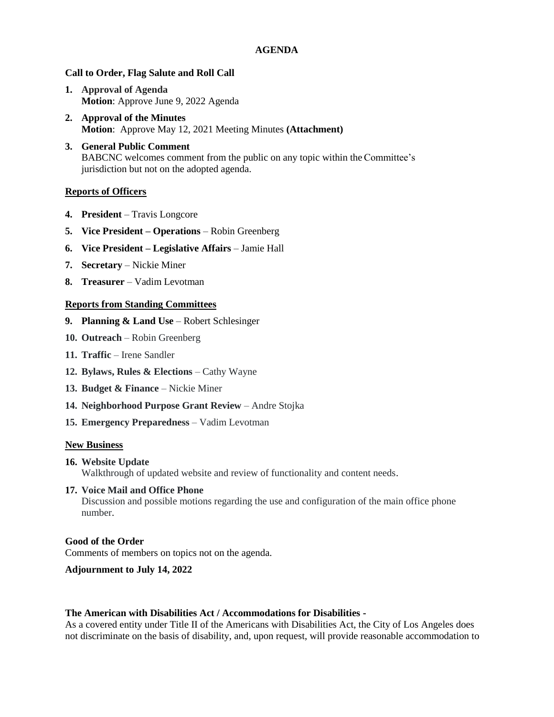## **AGENDA**

#### **Call to Order, Flag Salute and Roll Call**

- **1. Approval of Agenda Motion**: Approve June 9, 2022 Agenda
- **2. Approval of the Minutes Motion**: Approve May 12, 2021 Meeting Minutes **(Attachment)**
- **3. General Public Comment** BABCNC welcomes comment from the public on any topic within the Committee's jurisdiction but not on the adopted agenda.

#### **Reports of Officers**

- **4. President**  Travis Longcore
- **5. Vice President – Operations**  Robin Greenberg
- **6. Vice President – Legislative Affairs**  Jamie Hall
- **7. Secretary**  Nickie Miner
- **8. Treasurer**  Vadim Levotman

#### **Reports from Standing Committees**

- **9. Planning & Land Use**  Robert Schlesinger
- **10. Outreach**  Robin Greenberg
- **11. Traffic**  Irene Sandler
- **12. Bylaws, Rules & Elections**  Cathy Wayne
- **13. Budget & Finance**  Nickie Miner
- **14. Neighborhood Purpose Grant Review Andre Stojka**
- **15. Emergency Preparedness**  Vadim Levotman

#### **New Business**

**16. Website Update** Walkthrough of updated website and review of functionality and content needs.

# **17. Voice Mail and Office Phone**

Discussion and possible motions regarding the use and configuration of the main office phone number.

#### **Good of the Order**

Comments of members on topics not on the agenda.

## **Adjournment to July 14, 2022**

#### **The American with Disabilities Act / Accommodations for Disabilities -**

As a covered entity under Title II of the Americans with Disabilities Act, the City of Los Angeles does not discriminate on the basis of disability, and, upon request, will provide reasonable accommodation to